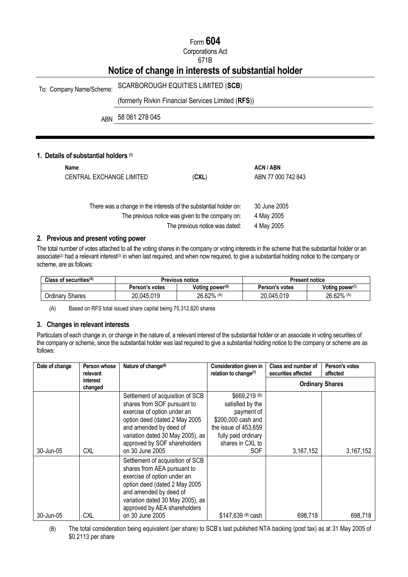# Form **604**

# Corporations Act

## 671B

# **Notice of change in interests of substantial holder**

# To: Company Name/Scheme: SCARBOROUGH EQUITIES LIMITED (**SCB**)

# (formerly Rivkin Financial Services Limited (**RFS**))

ABN 58 061 278 045

## **1. Details of substantial holders (1)**

| Name                     |                                                                   | <b>ACN/ABN</b>     |
|--------------------------|-------------------------------------------------------------------|--------------------|
| CENTRAL EXCHANGE LIMITED | (CXL)                                                             | ABN 77 000 742 843 |
|                          |                                                                   |                    |
|                          |                                                                   |                    |
|                          | There was a change in the interests of the substantial holder on: | 30 June 2005       |
|                          | The previous notice was given to the company on:                  | 4 May 2005         |
|                          | The previous notice was dated:                                    | 4 May 2005         |

### **2. Previous and present voting power**

The total number of votes attached to all the voting shares in the company or voting interests in the scheme that the substantial holder or an associate<sup>(2)</sup> had a relevant interest<sup>(3)</sup> in when last required, and when now required, to give a substantial holding notice to the company or scheme, are as follows:

| Class of securities $(4)$ | Previous notice |                             | Present notice |                    |
|---------------------------|-----------------|-----------------------------|----------------|--------------------|
|                           | Person's votes  | Voting power <sup>(5)</sup> | Person's votes | Voting power $(5)$ |
| <b>Ordinary Shares</b>    | 20,045,019      | 26.62% (A)                  | 20,045,019     | 26.62% (A)         |

(A) Based on RFS total issued share capital being 75,312,820 shares

### **3. Changes in relevant interests**

Particulars of each change in, or change in the nature of, a relevant interest of the substantial holder or an associate in voting securities of the company or scheme, since the substantial holder was last required to give a substantial holding notice to the company or scheme are as follows:

| Date of change | Person whose<br>relevant | Nature of change <sup>(6)</sup>                                                                                                                                                                                                                  | Consideration given in<br>relation to change $(7)$                                                                                                     | Class and number of<br>securities affected | Person's votes<br>affected |
|----------------|--------------------------|--------------------------------------------------------------------------------------------------------------------------------------------------------------------------------------------------------------------------------------------------|--------------------------------------------------------------------------------------------------------------------------------------------------------|--------------------------------------------|----------------------------|
|                | interest<br>changed      |                                                                                                                                                                                                                                                  |                                                                                                                                                        | <b>Ordinary Shares</b>                     |                            |
| 30-Jun-05      | <b>CXL</b>               | Settlement of acquisition of SCB<br>shares from SOF pursuant to<br>exercise of option under an<br>option deed (dated 2 May 2005<br>and amended by deed of<br>variation dated 30 May 2005), as<br>approved by SOF shareholders<br>on 30 June 2005 | \$669,219 (B)<br>satisfied by the<br>payment of<br>\$200,000 cash and<br>the issue of 453,659<br>fully paid ordinary<br>shares in CXL to<br><b>SOF</b> | 3,167,152                                  | 3,167,152                  |
| 30-Jun-05      | CXL                      | Settlement of acquisition of SCB<br>shares from AEA pursuant to<br>exercise of option under an<br>option deed (dated 2 May 2005<br>and amended by deed of<br>variation dated 30 May 2005), as<br>approved by AEA shareholders<br>on 30 June 2005 | \$147,639 (B) cash                                                                                                                                     | 698,718                                    | 698.718                    |

(B) The total consideration being equivalent (per share) to SCB's last published NTA backing (post tax) as at 31 May 2005 of \$0.2113 per share